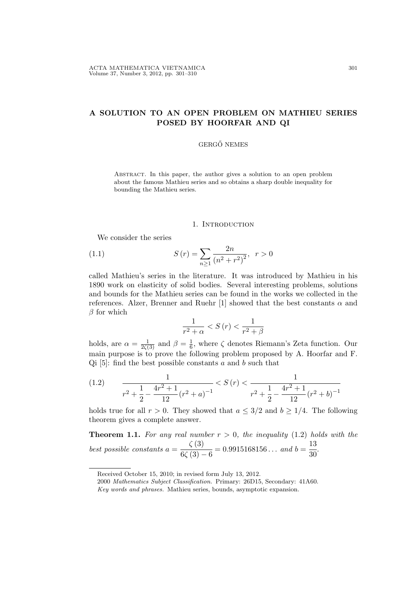# A SOLUTION TO AN OPEN PROBLEM ON MATHIEU SERIES POSED BY HOORFAR AND QI

### GERGŐ NEMES

Abstract. In this paper, the author gives a solution to an open problem about the famous Mathieu series and so obtains a sharp double inequality for bounding the Mathieu series.

#### 1. INTRODUCTION

We consider the series

(1.1) 
$$
S(r) = \sum_{n\geq 1} \frac{2n}{(n^2 + r^2)^2}, \quad r > 0
$$

called Mathieu's series in the literature. It was introduced by Mathieu in his 1890 work on elasticity of solid bodies. Several interesting problems, solutions and bounds for the Mathieu series can be found in the works we collected in the references. Alzer, Brenner and Ruehr [1] showed that the best constants  $\alpha$  and  $\beta$  for which

$$
\frac{1}{r^{2}+\alpha} < S\left(r\right) < \frac{1}{r^{2}+\beta}
$$

holds, are  $\alpha = \frac{1}{2\zeta(3)}$  and  $\beta = \frac{1}{6}$  $\frac{1}{6}$ , where  $\zeta$  denotes Riemann's Zeta function. Our main purpose is to prove the following problem proposed by A. Hoorfar and F.  $Qi$  [5]: find the best possible constants a and b such that

$$
(1.2) \qquad \frac{1}{r^2 + \frac{1}{2} - \frac{4r^2 + 1}{12}(r^2 + a)^{-1}} < S\left(r\right) < \frac{1}{r^2 + \frac{1}{2} - \frac{4r^2 + 1}{12}(r^2 + b)^{-1}}
$$

holds true for all  $r > 0$ . They showed that  $a \leq 3/2$  and  $b \geq 1/4$ . The following theorem gives a complete answer.

**Theorem 1.1.** For any real number  $r > 0$ , the inequality (1.2) holds with the best possible constants  $a =$  $\zeta(3)$  $\frac{1}{6\zeta(3)-6} = 0.9915168156...$  and  $b=$ 13  $\frac{1}{30}$ .

Received October 15, 2010; in revised form July 13, 2012.

<sup>2000</sup> Mathematics Subject Classification. Primary: 26D15, Secondary: 41A60.

Key words and phrases. Mathieu series, bounds, asymptotic expansion.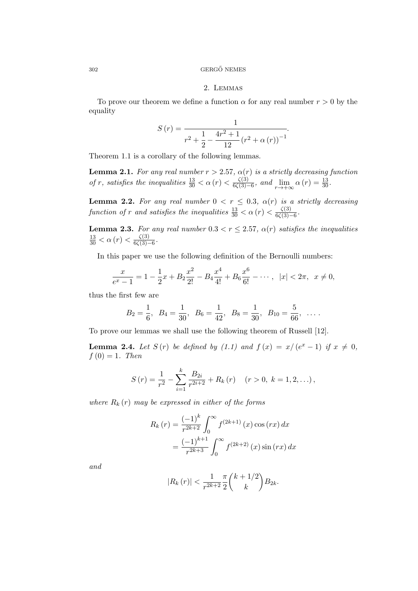#### $302$  GERGŐ NEMES

### 2. Lemmas

To prove our theorem we define a function  $\alpha$  for any real number  $r > 0$  by the equality

$$
S(r) = \frac{1}{r^{2} + \frac{1}{2} - \frac{4r^{2} + 1}{12}(r^{2} + \alpha(r))^{-1}}.
$$

Theorem 1.1 is a corollary of the following lemmas.

**Lemma 2.1.** For any real number  $r > 2.57$ ,  $\alpha(r)$  is a strictly decreasing function of r, satisfies the inequalities  $\frac{13}{30} < \alpha(r) < \frac{\zeta(3)}{6\zeta(3)}$  $\frac{\zeta(3)}{6\zeta(3)-6}$ , and  $\lim_{r \to +\infty} \alpha(r) = \frac{13}{30}$ .

**Lemma 2.2.** For any real number  $0 < r \leq 0.3$ ,  $\alpha(r)$  is a strictly decreasing function of r and satisfies the inequalities  $\frac{13}{30} < \alpha(r) < \frac{\zeta(3)}{6\zeta(3)}$ .  $\frac{\zeta(3)}{6\zeta(3)-6}$ .

**Lemma 2.3.** For any real number  $0.3 < r \le 2.57$ ,  $\alpha(r)$  satisfies the inequalities  $\frac{13}{30} < \alpha(r) < \frac{\zeta(3)}{6\zeta(3)}$  $\frac{\zeta(3)}{6\zeta(3)-6}$ .

In this paper we use the following definition of the Bernoulli numbers:

$$
\frac{x}{e^x - 1} = 1 - \frac{1}{2}x + B_2 \frac{x^2}{2!} - B_4 \frac{x^4}{4!} + B_6 \frac{x^6}{6!} - \dots, \ |x| < 2\pi, \ x \neq 0,
$$

thus the first few are

$$
B_2 = \frac{1}{6}
$$
,  $B_4 = \frac{1}{30}$ ,  $B_6 = \frac{1}{42}$ ,  $B_8 = \frac{1}{30}$ ,  $B_{10} = \frac{5}{66}$ , ...

To prove our lemmas we shall use the following theorem of Russell [12].

**Lemma 2.4.** Let  $S(r)$  be defined by (1.1) and  $f(x) = x/(e^x - 1)$  if  $x \neq 0$ ,  $f(0) = 1$ . Then

$$
S(r) = \frac{1}{r^2} - \sum_{i=1}^{k} \frac{B_{2i}}{r^{2i+2}} + R_k(r) \quad (r > 0, k = 1, 2, ...),
$$

where  $R_k(r)$  may be expressed in either of the forms

$$
R_k(r) = \frac{(-1)^k}{r^{2k+2}} \int_0^\infty f^{(2k+1)}(x) \cos(rx) dx
$$
  
= 
$$
\frac{(-1)^{k+1}}{r^{2k+3}} \int_0^\infty f^{(2k+2)}(x) \sin(rx) dx
$$

and

$$
|R_k(r)| < \frac{1}{r^{2k+2}} \frac{\pi}{2} \binom{k+1/2}{k} B_{2k}.
$$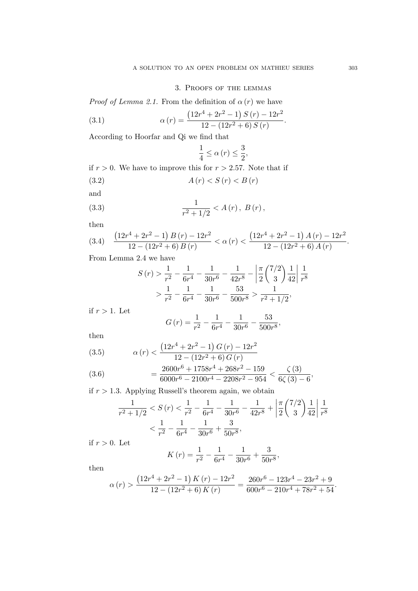## 3. Proofs of the lemmas

*Proof of Lemma 2.1.* From the definition of  $\alpha(r)$  we have

(3.1) 
$$
\alpha(r) = \frac{(12r^4 + 2r^2 - 1) S(r) - 12r^2}{12 - (12r^2 + 6) S(r)}.
$$

According to Hoorfar and Qi we find that

$$
\frac{1}{4}\leq\alpha\left( r\right) \leq\frac{3}{2},
$$

if  $r > 0$ . We have to improve this for  $r > 2.57$ . Note that if (3.2)  $A(r) < S(r) < B(r)$ 

and

(3.3) 
$$
\frac{1}{r^2 + 1/2} < A(r), B(r),
$$

then

$$
(3.4) \quad \frac{\left(12r^4+2r^2-1\right)B\left(r\right)-12r^2}{12-\left(12r^2+6\right)B\left(r\right)}<\alpha\left(r\right)<\frac{\left(12r^4+2r^2-1\right)A\left(r\right)-12r^2}{12-\left(12r^2+6\right)A\left(r\right)}.
$$

From Lemma 2.4 we have

$$
S(r) > \frac{1}{r^2} - \frac{1}{6r^4} - \frac{1}{30r^6} - \frac{1}{42r^8} - \left| \frac{\pi}{2} \left( \frac{7}{2} \right) \frac{1}{42} \right| \frac{1}{r^8}
$$
  
>  $\frac{1}{r^2} - \frac{1}{6r^4} - \frac{1}{30r^6} - \frac{53}{500r^8} > \frac{1}{r^2 + 1/2}$ ,

if  $r > 1$ . Let

$$
G(r) = \frac{1}{r^2} - \frac{1}{6r^4} - \frac{1}{30r^6} - \frac{53}{500r^8},
$$

then

(3.5) 
$$
\alpha(r) < \frac{\left(12r^4 + 2r^2 - 1\right)G(r) - 12r^2}{12 - \left(12r^2 + 6\right)G(r)}
$$

(3.6) 
$$
= \frac{2600r^6 + 1758r^4 + 268r^2 - 159}{6000r^6 - 2100r^4 - 2208r^2 - 954} < \frac{\zeta(3)}{6\zeta(3) - 6},
$$

if  $r > 1.3$ . Applying Russell's theorem again, we obtain

$$
\frac{1}{r^2 + 1/2} < S(r) < \frac{1}{r^2} - \frac{1}{6r^4} - \frac{1}{30r^6} - \frac{1}{42r^8} + \left| \frac{\pi}{2} \binom{7/2}{3} \frac{1}{42} \right| \frac{1}{r^8} \\
& < \frac{1}{r^2} - \frac{1}{6r^4} - \frac{1}{30r^6} + \frac{3}{50r^8},
$$

if  $r > 0$ . Let

$$
K(r) = \frac{1}{r^2} - \frac{1}{6r^4} - \frac{1}{30r^6} + \frac{3}{50r^8},
$$

then

$$
\alpha(r) > \frac{\left(12r^4 + 2r^2 - 1\right)K(r) - 12r^2}{12 - \left(12r^2 + 6\right)K(r)} = \frac{260r^6 - 123r^4 - 23r^2 + 9}{600r^6 - 210r^4 + 78r^2 + 54}.
$$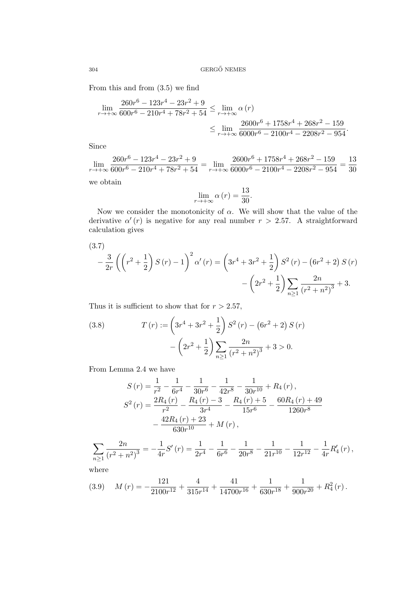From this and from (3.5) we find

$$
\lim_{r \to +\infty} \frac{260r^6 - 123r^4 - 23r^2 + 9}{600r^6 - 210r^4 + 78r^2 + 54} \le \lim_{r \to +\infty} \alpha(r)
$$
\n
$$
\le \lim_{r \to +\infty} \frac{2600r^6 + 1758r^4 + 268r^2 - 159}{6000r^6 - 2100r^4 - 2208r^2 - 954}.
$$

Since

$$
\lim_{r \to +\infty} \frac{260r^6 - 123r^4 - 23r^2 + 9}{600r^6 - 210r^4 + 78r^2 + 54} = \lim_{r \to +\infty} \frac{2600r^6 + 1758r^4 + 268r^2 - 159}{6000r^6 - 2100r^4 - 2208r^2 - 954} = \frac{13}{30}
$$

we obtain

$$
\lim_{r \to +\infty} \alpha(r) = \frac{13}{30}.
$$

Now we consider the monotonicity of  $\alpha$ . We will show that the value of the derivative  $\alpha'(r)$  is negative for any real number  $r > 2.57$ . A straightforward calculation gives

(3.7)  
\n
$$
-\frac{3}{2r}\left(\left(r^2+\frac{1}{2}\right)S(r)-1\right)^2\alpha'(r)=\left(3r^4+3r^2+\frac{1}{2}\right)S^2(r)-\left(6r^2+2\right)S(r)-\left(2r^2+\frac{1}{2}\right)\sum_{n\geq 1}\frac{2n}{\left(r^2+n^2\right)^3}+3.
$$

Thus it is sufficient to show that for  $r > 2.57$ ,

(3.8) 
$$
T(r) := \left(3r^4 + 3r^2 + \frac{1}{2}\right) S^2(r) - \left(6r^2 + 2\right) S(r) - \left(2r^2 + \frac{1}{2}\right) \sum_{n \ge 1} \frac{2n}{\left(r^2 + n^2\right)^3} + 3 > 0.
$$

From Lemma 2.4 we have

$$
S(r) = \frac{1}{r^2} - \frac{1}{6r^4} - \frac{1}{30r^6} - \frac{1}{42r^8} - \frac{1}{30r^{10}} + R_4(r),
$$
  
\n
$$
S^2(r) = \frac{2R_4(r)}{r^2} - \frac{R_4(r) - 3}{3r^4} - \frac{R_4(r) + 5}{15r^6} - \frac{60R_4(r) + 49}{1260r^8} - \frac{42R_4(r) + 23}{630r^{10}} + M(r),
$$

$$
\sum_{n\geq 1} \frac{2n}{\left(r^2+n^2\right)^3} = -\frac{1}{4r}S'\left(r\right) = \frac{1}{2r^4} - \frac{1}{6r^6} - \frac{1}{20r^8} - \frac{1}{21r^{10}} - \frac{1}{12r^{12}} - \frac{1}{4r}R'_4\left(r\right),
$$

where

$$
(3.9) \quad M(r) = -\frac{121}{2100r^{12}} + \frac{4}{315r^{14}} + \frac{41}{14700r^{16}} + \frac{1}{630r^{18}} + \frac{1}{900r^{20}} + R_4^2(r).
$$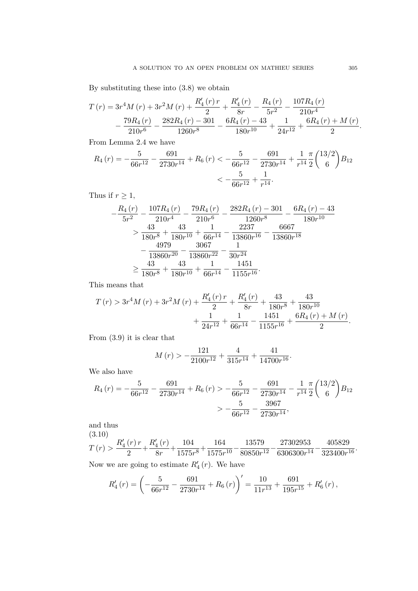By substituting these into (3.8) we obtain

$$
T(r) = 3r^{4}M(r) + 3r^{2}M(r) + \frac{R'_{4}(r)r}{2} + \frac{R'_{4}(r)}{8r} - \frac{R_{4}(r)}{5r^{2}} - \frac{107R_{4}(r)}{210r^{4}} - \frac{79R_{4}(r)}{210r^{6}} - \frac{282R_{4}(r) - 301}{1260r^{8}} - \frac{6R_{4}(r) - 43}{180r^{10}} + \frac{1}{24r^{12}} + \frac{6R_{4}(r) + M(r)}{2}.
$$

From Lemma 2.4 we have

$$
R_4(r) = -\frac{5}{66r^{12}} - \frac{691}{2730r^{14}} + R_6(r) < -\frac{5}{66r^{12}} - \frac{691}{2730r^{14}} + \frac{1}{r^{14}}\frac{\pi}{2} \binom{13/2}{6} B_{12} \\
 < -\frac{5}{66r^{12}} + \frac{1}{r^{14}}.
$$

Thus if  $r \geq 1$ ,

$$
-\frac{R_4(r)}{5r^2} - \frac{107R_4(r)}{210r^4} - \frac{79R_4(r)}{210r^6} - \frac{282R_4(r) - 301}{1260r^8} - \frac{6R_4(r) - 43}{180r^{10}}
$$
  
\n
$$
> \frac{43}{180r^8} + \frac{43}{180r^{10}} + \frac{1}{66r^{14}} - \frac{2237}{13860r^{16}} - \frac{6667}{13860r^{18}}
$$
  
\n
$$
- \frac{4979}{13860r^{20}} - \frac{3067}{13860r^{22}} - \frac{1}{30r^{24}}
$$
  
\n
$$
\ge \frac{43}{180r^8} + \frac{43}{180r^{10}} + \frac{1}{66r^{14}} - \frac{1451}{1155r^{16}}.
$$

This means that

$$
T(r) > 3r^{4}M(r) + 3r^{2}M(r) + \frac{R_{4}'(r)r}{2} + \frac{R_{4}'(r)}{8r} + \frac{43}{180r^{8}} + \frac{43}{180r^{10}} + \frac{1}{24r^{12}} + \frac{1}{66r^{14}} - \frac{1451}{1155r^{16}} + \frac{6R_{4}(r) + M(r)}{2}.
$$

From (3.9) it is clear that

$$
M(r) > -\frac{121}{2100r^{12}} + \frac{4}{315r^{14}} + \frac{41}{14700r^{16}}.
$$

We also have

$$
R_4(r) = -\frac{5}{66r^{12}} - \frac{691}{2730r^{14}} + R_6(r) > -\frac{5}{66r^{12}} - \frac{691}{2730r^{14}} - \frac{1}{r^{14}}\frac{\pi}{2} \binom{13/2}{6} B_{12} > -\frac{5}{66r^{12}} - \frac{3967}{2730r^{14}},
$$

and thus

(3.10)  $T(r) > \frac{R'_4(r)r}{2}$  $\frac{(r) r}{2} + \frac{R'_{4}(r)}{8r}$  $\frac{4}{8r}$  +  $\frac{104}{1575r}$  $\frac{104}{1575r^8} + \frac{164}{1575r}$  $\frac{164}{1575r^{10}} - \frac{13579}{80850r^{10}}$  $\frac{13579}{80850r^{12}} - \frac{27302953}{6306300r^1}$  $rac{27302953}{6306300r^{14}} - \frac{405829}{323400r}$  $\frac{100025}{323400r^{16}}$ Now we are going to estimate  $R_4'(r)$ . We have

$$
R_4'(r) = \left(-\frac{5}{66r^{12}} - \frac{691}{2730r^{14}} + R_6(r)\right)' = \frac{10}{11r^{13}} + \frac{691}{195r^{15}} + R_6'(r),
$$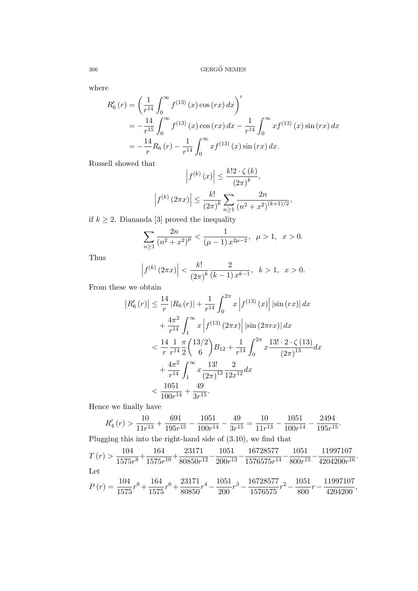where

$$
R'_6(r) = \left(\frac{1}{r^{14}} \int_0^\infty f^{(13)}(x) \cos(rx) dx\right)'
$$
  
=  $-\frac{14}{r^{15}} \int_0^\infty f^{(13)}(x) \cos(rx) dx - \frac{1}{r^{14}} \int_0^\infty x f^{(13)}(x) \sin(rx) dx$   
=  $-\frac{14}{r} R_6(r) - \frac{1}{r^{14}} \int_0^\infty x f^{(13)}(x) \sin(rx) dx.$ 

Russell showed that

$$
\left| f^{(k)}(x) \right| \le \frac{k! 2 \cdot \zeta(k)}{(2\pi)^k},
$$

$$
\left| f^{(k)}(2\pi x) \right| \le \frac{k!}{(2\pi)^k} \sum_{n \ge 1} \frac{2n}{(n^2 + x^2)^{(k+1)/2}},
$$

if  $k \geq 2$ . Diananda [3] proved the inequality

$$
\sum_{n\geq 1} \frac{2n}{(n^2+x^2)^{\mu}} < \frac{1}{(\mu-1) x^{2\mu-2}}, \ \mu > 1, \ x > 0.
$$

Thus

$$
\left| f^{(k)}\left(2\pi x\right) \right| < \frac{k!}{\left(2\pi\right)^k} \frac{2}{\left(k-1\right) x^{k-1}}, \ \ k > 1, \ \ x > 0.
$$

From these we obtain

$$
|R'_{6}(r)| \leq \frac{14}{r} |R_{6}(r)| + \frac{1}{r^{14}} \int_{0}^{2\pi} x |f^{(13)}(x)| |\sin (rx)| dx
$$
  
+ 
$$
\frac{4\pi^{2}}{r^{14}} \int_{1}^{\infty} x |f^{(13)}(2\pi x)| |\sin (2\pi rx)| dx
$$
  

$$
< \frac{14}{r} \frac{1}{r^{14}} \frac{\pi}{2} {13/2 \choose 6} B_{12} + \frac{1}{r^{14}} \int_{0}^{2\pi} x \frac{13! \cdot 2 \cdot \zeta (13)}{(2\pi)^{13}} dx
$$
  
+ 
$$
\frac{4\pi^{2}}{r^{14}} \int_{1}^{\infty} x \frac{13!}{(2\pi)^{13}} \frac{2}{12x^{12}} dx
$$
  

$$
< \frac{1051}{100r^{14}} + \frac{49}{3r^{15}}.
$$

Hence we finally have

$$
R'_4(r) > \frac{10}{11r^{13}} + \frac{691}{195r^{15}} - \frac{1051}{100r^{14}} - \frac{49}{3r^{15}} = \frac{10}{11r^{13}} - \frac{1051}{100r^{14}} - \frac{2494}{195r^{15}}.
$$

Plugging this into the right-hand side of (3.10), we find that

$$
T(r) > \frac{104}{1575r^8} + \frac{164}{1575r^{10}} + \frac{23171}{80850r^{12}} - \frac{1051}{200r^{13}} - \frac{16728577}{1576575r^{14}} - \frac{1051}{800r^{15}} - \frac{11997107}{4204200r^{16}}.
$$
  
Let  

$$
P(r) = \frac{104}{1575}r^8 + \frac{164}{1575}r^6 + \frac{23171}{80850}r^4 - \frac{1051}{200}r^3 - \frac{16728577}{1576575}r^2 - \frac{1051}{800}r - \frac{11997107}{4204200},
$$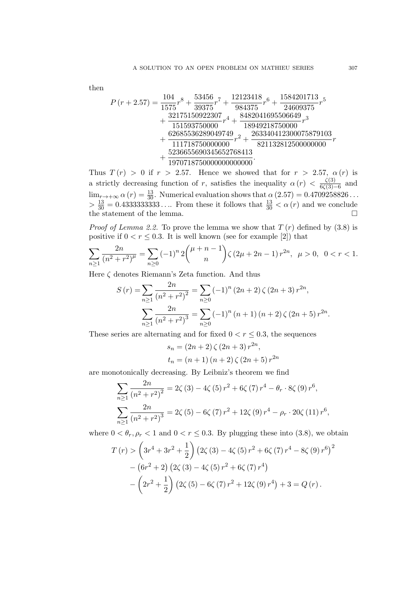then

<sup>P</sup> (<sup>r</sup> + 2.57) = <sup>104</sup> 1575 r <sup>8</sup> + 53456 39375 r <sup>7</sup> + 12123418 984375 r <sup>6</sup> + 1584201713 24609375 r 5 + 32175150922307 151593750000 r <sup>4</sup> + 8482041695506649 18949218750000 r 3 + 62685536289049749 111718750000000 r <sup>2</sup> + 263340412300075879103 821132812500000000 r + 5236655690345652768413 1970718750000000000000 .

Thus  $T(r) > 0$  if  $r > 2.57$ . Hence we showed that for  $r > 2.57$ ,  $\alpha(r)$  is a strictly decreasing function of r, satisfies the inequality  $\alpha(r) < \frac{\zeta(3)}{6\zeta(3)}$  $\frac{\zeta(3)}{6\zeta(3)-6}$  and  $\lim_{r\to+\infty} \alpha(r) = \frac{13}{30}$ . Numerical evaluation shows that  $\alpha(2.57) = 0.4709258826...$  $> \frac{13}{30} = 0.4333333333...$  From these it follows that  $\frac{13}{30} < \alpha(r)$  and we conclude the statement of the lemma.  $\square$ 

*Proof of Lemma 2.2.* To prove the lemma we show that  $T(r)$  defined by (3.8) is positive if  $0 < r \leq 0.3$ . It is well known (see for example [2]) that

$$
\sum_{n\geq 1} \frac{2n}{(n^2+r^2)^{\mu}} = \sum_{n\geq 0} (-1)^n 2\binom{\mu+n-1}{n} \zeta (2\mu+2n-1) r^{2n}, \ \mu > 0, \ 0 < r < 1.
$$

Here  $\zeta$  denotes Riemann's Zeta function. And thus

$$
S(r) = \sum_{n\geq 1} \frac{2n}{(n^2 + r^2)^2} = \sum_{n\geq 0} (-1)^n (2n + 2) \zeta (2n + 3) r^{2n},
$$

$$
\sum_{n\geq 1} \frac{2n}{(n^2 + r^2)^3} = \sum_{n\geq 0} (-1)^n (n + 1) (n + 2) \zeta (2n + 5) r^{2n}.
$$

These series are alternating and for fixed  $0 < r \leq 0.3$ , the sequences

$$
s_n = (2n + 2) \zeta (2n + 3) r^{2n},
$$
  
\n
$$
t_n = (n + 1) (n + 2) \zeta (2n + 5) r^{2n}
$$

are monotonically decreasing. By Leibniz's theorem we find

$$
\sum_{n\geq 1} \frac{2n}{(n^2+r^2)^2} = 2\zeta(3) - 4\zeta(5) r^2 + 6\zeta(7) r^4 - \theta_r \cdot 8\zeta(9) r^6,
$$
  

$$
\sum_{n\geq 1} \frac{2n}{(n^2+r^2)^3} = 2\zeta(5) - 6\zeta(7) r^2 + 12\zeta(9) r^4 - \rho_r \cdot 20\zeta(11) r^6,
$$

where  $0 < \theta_r, \rho_r < 1$  and  $0 < r \leq 0.3$ . By plugging these into (3.8), we obtain

$$
T(r) > \left(3r^4 + 3r^2 + \frac{1}{2}\right) \left(2\zeta(3) - 4\zeta(5)r^2 + 6\zeta(7)r^4 - 8\zeta(9)r^6\right)^2
$$

$$
- \left(6r^2 + 2\right) \left(2\zeta(3) - 4\zeta(5)r^2 + 6\zeta(7)r^4\right)
$$

$$
- \left(2r^2 + \frac{1}{2}\right) \left(2\zeta(5) - 6\zeta(7)r^2 + 12\zeta(9)r^4\right) + 3 = Q(r).
$$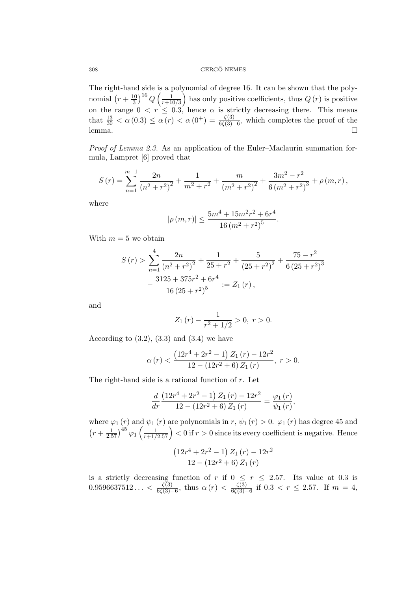## ${\rm GERG\H}{}^{\!\!\!\!\prime} \, {\rm NEMES}$

The right-hand side is a polynomial of degree 16. It can be shown that the polynomial  $(r+\frac{10}{3})$  $\frac{10}{3}\big)^{16}$   $Q\left(\frac{1}{r+1}\right)$  $\frac{1}{r+10/3}$  has only positive coefficients, thus  $Q(r)$  is positive on the range  $0 < r \leq 0.3$ , hence  $\alpha$  is strictly decreasing there. This means that  $\frac{13}{30} < \alpha(0.3) \leq \alpha(r) < \alpha(0^+) = \frac{\zeta(3)}{6\zeta(3)-6}$ , which completes the proof of the lemma.  $\square$ 

Proof of Lemma 2.3. As an application of the Euler–Maclaurin summation formula, Lampret [6] proved that

$$
S(r) = \sum_{n=1}^{m-1} \frac{2n}{(n^2 + r^2)^2} + \frac{1}{m^2 + r^2} + \frac{m}{(m^2 + r^2)^2} + \frac{3m^2 - r^2}{6(m^2 + r^2)^3} + \rho(m, r),
$$

where

$$
|\rho(m,r)| \le \frac{5m^4 + 15m^2r^2 + 6r^4}{16(m^2 + r^2)^5}
$$

.

With  $m = 5$  we obtain

$$
S(r) > \sum_{n=1}^{4} \frac{2n}{(n^{2} + r^{2})^{2}} + \frac{1}{25 + r^{2}} + \frac{5}{(25 + r^{2})^{2}} + \frac{75 - r^{2}}{6(25 + r^{2})^{3}}
$$

$$
- \frac{3125 + 375r^{2} + 6r^{4}}{16(25 + r^{2})^{5}} := Z_{1}(r),
$$

and

$$
Z_1(r) - \frac{1}{r^2 + 1/2} > 0, r > 0.
$$

According to  $(3.2)$ ,  $(3.3)$  and  $(3.4)$  we have

$$
\alpha(r) < \frac{\left(12r^4 + 2r^2 - 1\right)Z_1(r) - 12r^2}{12 - \left(12r^2 + 6\right)Z_1(r)}, \ r > 0.
$$

The right-hand side is a rational function of  $r$ . Let

$$
\frac{d}{dr}\frac{\left(12r^4+2r^2-1\right)Z_1(r)-12r^2}{12-\left(12r^2+6\right)Z_1(r)}=\frac{\varphi_1\left(r\right)}{\psi_1\left(r\right)},
$$

where  $\varphi_1(r)$  and  $\psi_1(r)$  are polynomials in  $r$ ,  $\psi_1(r) > 0$ .  $\varphi_1(r)$  has degree 45 and  $\left(r+\frac{1}{2.57}\right)^{45} \varphi_1\left(\frac{1}{r+1/2.57}\right) < 0$  if  $r > 0$  since its every coefficient is negative. Hence

$$
\frac{\left(12r^4+2r^2-1\right)Z_1\left(r\right)-12r^2}{12-\left(12r^2+6\right)Z_1\left(r\right)}
$$

is a strictly decreasing function of r if  $0 \le r \le 2.57$ . Its value at 0.3 is  $0.9596637512... < \frac{\zeta(3)}{6\zeta(3)-6}$ , thus  $\alpha(r) < \frac{\zeta(3)}{6\zeta(3)-6}$  $\frac{\zeta(3)}{6\zeta(3)-6}$  if  $0.3 < r \leq 2.57$ . If  $m = 4$ ,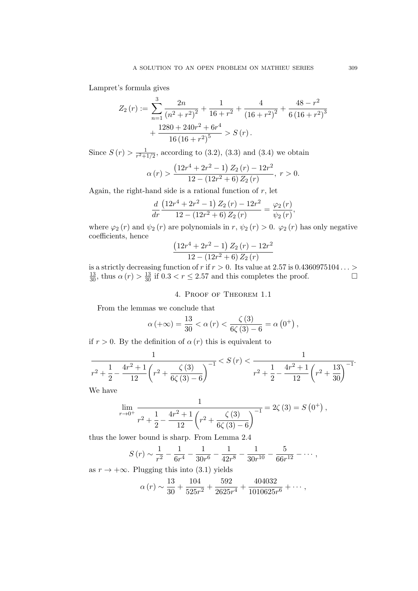Lampret's formula gives

$$
Z_{2}(r) := \sum_{n=1}^{3} \frac{2n}{(n^{2} + r^{2})^{2}} + \frac{1}{16 + r^{2}} + \frac{4}{(16 + r^{2})^{2}} + \frac{48 - r^{2}}{6(16 + r^{2})^{3}} + \frac{1280 + 240r^{2} + 6r^{4}}{16(16 + r^{2})^{5}} > S(r).
$$

Since  $S(r) > \frac{1}{r^2+1}$  $\frac{1}{r^2+1/2}$ , according to (3.2), (3.3) and (3.4) we obtain

$$
\alpha(r) > \frac{\left(12r^4 + 2r^2 - 1\right)Z_2(r) - 12r^2}{12 - \left(12r^2 + 6\right)Z_2(r)}, r > 0.
$$

Again, the right-hand side is a rational function of  $r$ , let

$$
\frac{d}{dr}\frac{\left(12r^{4}+2r^{2}-1\right)Z_{2}\left(r\right)-12r^{2}}{12-\left(12r^{2}+6\right)Z_{2}\left(r\right)}=\frac{\varphi_{2}\left(r\right)}{\psi_{2}\left(r\right)},
$$

where  $\varphi_2(r)$  and  $\psi_2(r)$  are polynomials in r,  $\psi_2(r) > 0$ .  $\varphi_2(r)$  has only negative coefficients, hence

$$
\frac{(12r^4+2r^2-1) Z_2(r) - 12r^2}{12 - (12r^2+6) Z_2(r)}
$$

is a strictly decreasing function of r if  $r > 0$ . Its value at 2.57 is 0.4360975104... >  $\frac{13}{30}$ , thus  $\alpha(r) > \frac{13}{30}$  if  $0.3 < r \le 2.57$  and this completes the proof.

# 4. Proof of Theorem 1.1

From the lemmas we conclude that

1

$$
\alpha (+\infty) = \frac{13}{30} < \alpha (r) < \frac{\zeta (3)}{6\zeta (3) - 6} = \alpha (0^+),
$$

if  $r > 0$ . By the definition of  $\alpha(r)$  this is equivalent to

$$
\cfrac{1}{r^2 + \cfrac{1}{2} - \cfrac{4r^2 + 1}{12} \left(r^2 + \cfrac{\zeta(3)}{6\zeta(3) - 6}\right)^{-1}} < S\left(r\right) < \cfrac{1}{r^2 + \cfrac{1}{2} - \cfrac{4r^2 + 1}{12} \left(r^2 + \cfrac{13}{30}\right)^{-1}}.
$$

We have

$$
\lim_{r \to 0^+} \frac{1}{r^2 + \frac{1}{2} - \frac{4r^2 + 1}{12} \left( r^2 + \frac{\zeta(3)}{6\zeta(3) - 6} \right)^{-1}} = 2\zeta(3) = S(0^+),
$$

thus the lower bound is sharp. From Lemma 2.4

$$
S(r) \sim \frac{1}{r^2} - \frac{1}{6r^4} - \frac{1}{30r^6} - \frac{1}{42r^8} - \frac{1}{30r^{10}} - \frac{5}{66r^{12}} - \cdots,
$$

as  $r \to +\infty$ . Plugging this into (3.1) yields

$$
\alpha(r) \sim \frac{13}{30} + \frac{104}{525r^2} + \frac{592}{2625r^4} + \frac{404032}{1010625r^6} + \cdots,
$$